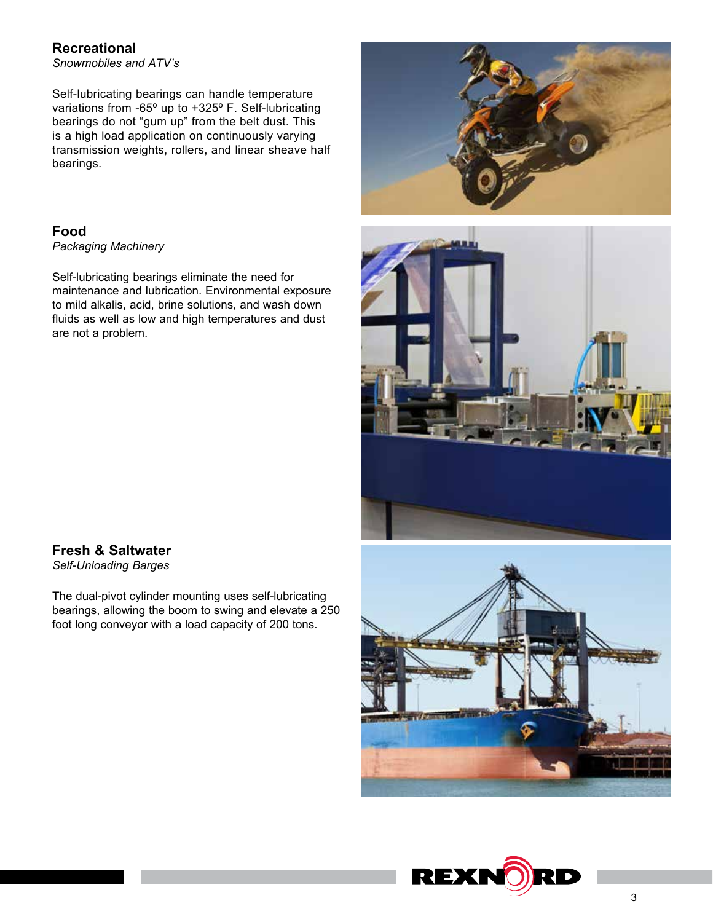# **Recreational**

*Snowmobiles and ATV's*

Self-lubricating bearings can handle temperature variations from -65º up to +325º F. Self-lubricating bearings do not "gum up" from the belt dust. This is a high load application on continuously varying transmission weights, rollers, and linear sheave half bearings.

# **Food**

*Packaging Machinery*

Self-lubricating bearings eliminate the need for maintenance and lubrication. Environmental exposure to mild alkalis, acid, brine solutions, and wash down fluids as well as low and high temperatures and dust are not a problem.





# **Fresh & Saltwater**

*Self-Unloading Barges*

The dual-pivot cylinder mounting uses self-lubricating bearings, allowing the boom to swing and elevate a 250 foot long conveyor with a load capacity of 200 tons.



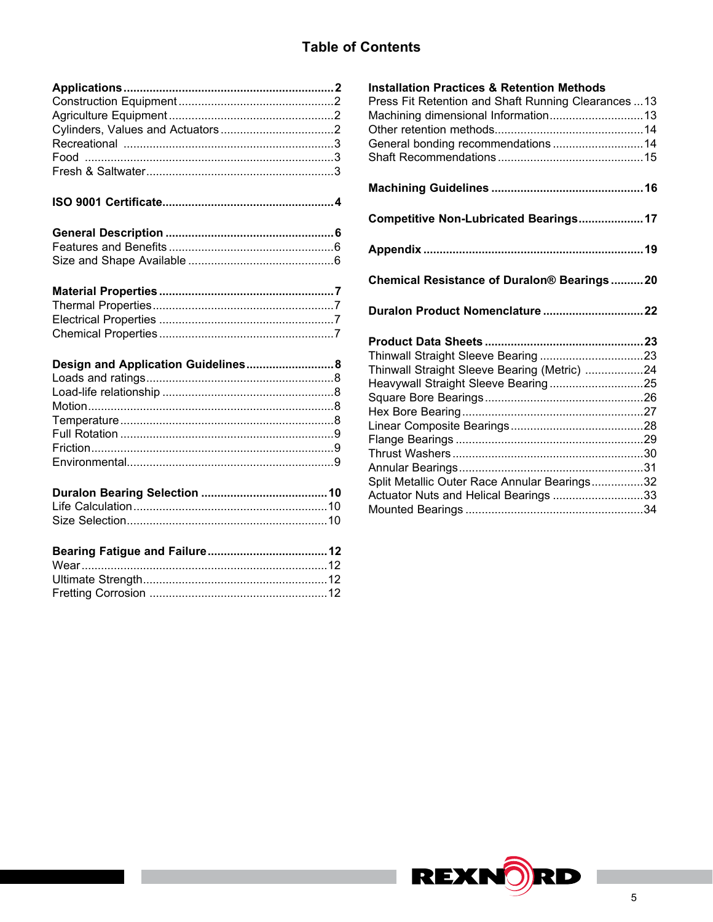# **Table of Contents**

# **ISO 9001 Certificate.....................................................4**

| Design and Application Guidelines 8 |  |
|-------------------------------------|--|
|                                     |  |
|                                     |  |
|                                     |  |
|                                     |  |
|                                     |  |
|                                     |  |
|                                     |  |
|                                     |  |
|                                     |  |

# **Installation Practices & Retention Methods** Press Fit Retention and Shaft Running Clearances ...13 Machining dimensional Information.............................13 Other retention methods..............................................14 General bonding recommendations ............................14 Shaft Recommendations .............................................15 **Machining Guidelines ...............................................16 Competitive Non-Lubricated Bearings....................17 Appendix ....................................................................19 Chemical Resistance of Duralon® Bearings ..........20 Duralon Product Nomenclature ...............................22 Product Data Sheets .................................................23** Thinwall Straight Sleeve Bearing ................................23 Thinwall Straight Sleeve Bearing (Metric) ..................24 Heavywall Straight Sleeve Bearing.............................25 Square Bore Bearings.................................................26 Hex Bore Bearing........................................................27 Linear Composite Bearings.........................................28 Flange Bearings ..........................................................29 Thrust Washers ...........................................................30 Annular Bearings.........................................................31 Split Metallic Outer Race Annular Bearings................32 Actuator Nuts and Helical Bearings ............................33 Mounted Bearings .......................................................34

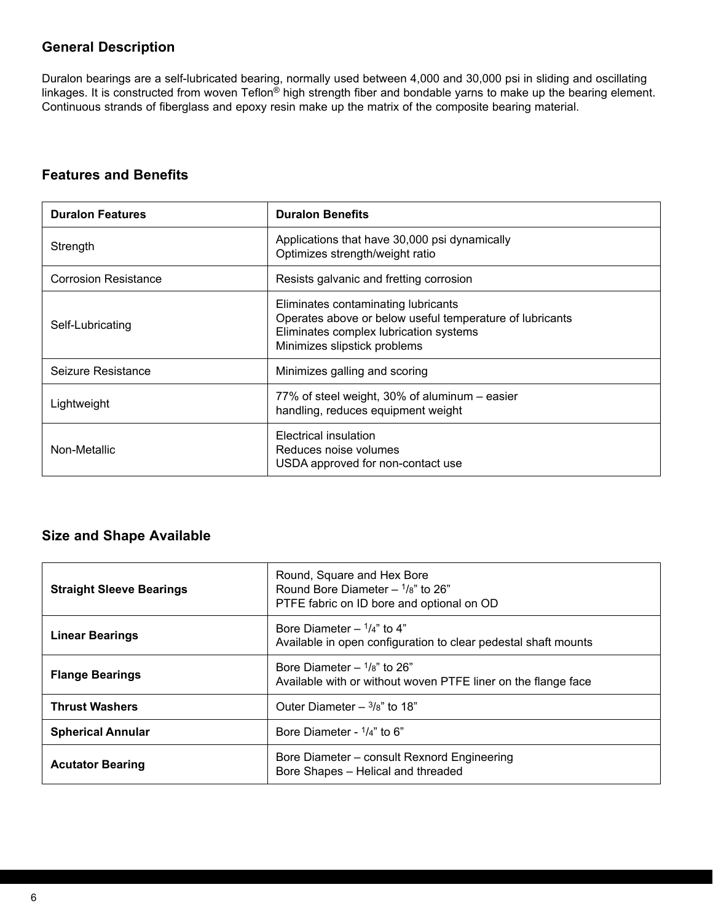# **General Description**

Duralon bearings are a self-lubricated bearing, normally used between 4,000 and 30,000 psi in sliding and oscillating linkages. It is constructed from woven Teflon<sup>®</sup> high strength fiber and bondable yarns to make up the bearing element. Continuous strands of fiberglass and epoxy resin make up the matrix of the composite bearing material.

# **Features and Benefits**

| <b>Duralon Features</b>     | <b>Duralon Benefits</b>                                                                                                                                                   |  |
|-----------------------------|---------------------------------------------------------------------------------------------------------------------------------------------------------------------------|--|
| Strength                    | Applications that have 30,000 psi dynamically<br>Optimizes strength/weight ratio                                                                                          |  |
| <b>Corrosion Resistance</b> | Resists galvanic and fretting corrosion                                                                                                                                   |  |
| Self-Lubricating            | Eliminates contaminating lubricants<br>Operates above or below useful temperature of lubricants<br>Eliminates complex lubrication systems<br>Minimizes slipstick problems |  |
| Seizure Resistance          | Minimizes galling and scoring                                                                                                                                             |  |
| Lightweight                 | 77% of steel weight, 30% of aluminum – easier<br>handling, reduces equipment weight                                                                                       |  |
| Non-Metallic                | Electrical insulation<br>Reduces noise volumes<br>USDA approved for non-contact use                                                                                       |  |

# **Size and Shape Available**

| <b>Straight Sleeve Bearings</b> | Round, Square and Hex Bore<br>Round Bore Diameter $ \frac{1}{8}$ " to 26"<br>PTFE fabric on ID bore and optional on OD |  |
|---------------------------------|------------------------------------------------------------------------------------------------------------------------|--|
| <b>Linear Bearings</b>          | Bore Diameter $ \frac{1}{4}$ " to 4"<br>Available in open configuration to clear pedestal shaft mounts                 |  |
| <b>Flange Bearings</b>          | Bore Diameter $ \frac{1}{8}$ " to 26"<br>Available with or without woven PTFE liner on the flange face                 |  |
| <b>Thrust Washers</b>           | Outer Diameter $-$ 3/8" to 18"                                                                                         |  |
| <b>Spherical Annular</b>        | Bore Diameter - $1/4$ " to 6"                                                                                          |  |
| <b>Acutator Bearing</b>         | Bore Diameter - consult Rexnord Engineering<br>Bore Shapes - Helical and threaded                                      |  |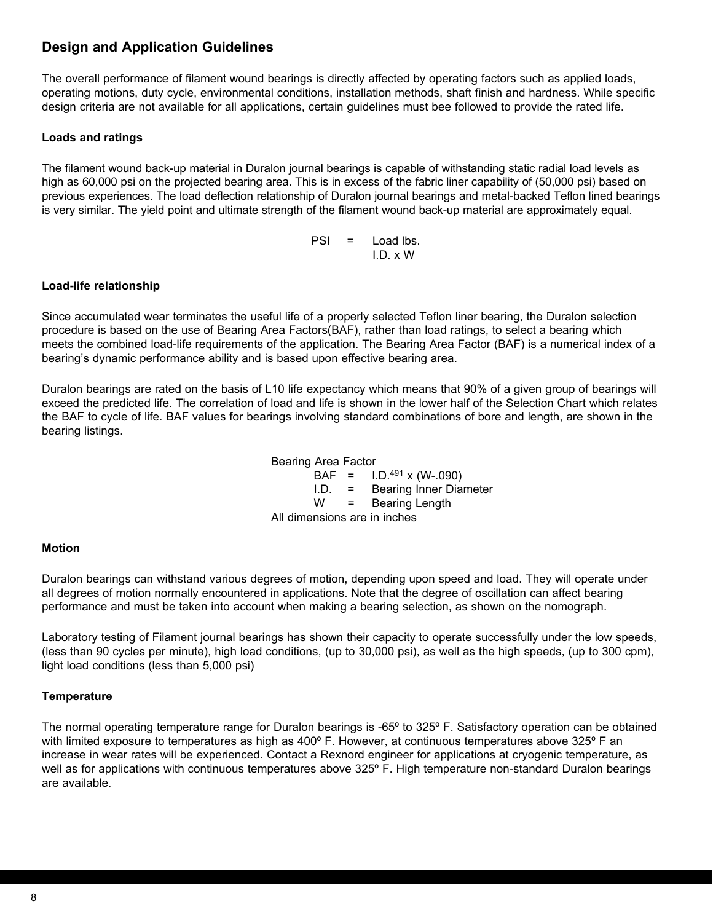# **Design and Application Guidelines**

The overall performance of filament wound bearings is directly affected by operating factors such as applied loads, operating motions, duty cycle, environmental conditions, installation methods, shaft finish and hardness. While specific design criteria are not available for all applications, certain guidelines must bee followed to provide the rated life.

## **Loads and ratings**

The filament wound back-up material in Duralon journal bearings is capable of withstanding static radial load levels as high as 60,000 psi on the projected bearing area. This is in excess of the fabric liner capability of (50,000 psi) based on previous experiences. The load deflection relationship of Duralon journal bearings and metal-backed Teflon lined bearings is very similar. The yield point and ultimate strength of the filament wound back-up material are approximately equal.

> PSI = Load lbs. I.D. x W

## **Load-life relationship**

Since accumulated wear terminates the useful life of a properly selected Teflon liner bearing, the Duralon selection procedure is based on the use of Bearing Area Factors(BAF), rather than load ratings, to select a bearing which meets the combined load-life requirements of the application. The Bearing Area Factor (BAF) is a numerical index of a bearing's dynamic performance ability and is based upon effective bearing area.

Duralon bearings are rated on the basis of L10 life expectancy which means that 90% of a given group of bearings will exceed the predicted life. The correlation of load and life is shown in the lower half of the Selection Chart which relates the BAF to cycle of life. BAF values for bearings involving standard combinations of bore and length, are shown in the bearing listings.

> Bearing Area Factor  $BAF = 1. D^{491} \times (W - .090)$ I.D. = Bearing Inner Diameter W = Bearing Length All dimensions are in inches

## **Motion**

Duralon bearings can withstand various degrees of motion, depending upon speed and load. They will operate under all degrees of motion normally encountered in applications. Note that the degree of oscillation can affect bearing performance and must be taken into account when making a bearing selection, as shown on the nomograph.

Laboratory testing of Filament journal bearings has shown their capacity to operate successfully under the low speeds, (less than 90 cycles per minute), high load conditions, (up to 30,000 psi), as well as the high speeds, (up to 300 cpm), light load conditions (less than 5,000 psi)

## **Temperature**

The normal operating temperature range for Duralon bearings is -65º to 325º F. Satisfactory operation can be obtained with limited exposure to temperatures as high as 400° F. However, at continuous temperatures above 325° F an increase in wear rates will be experienced. Contact a Rexnord engineer for applications at cryogenic temperature, as well as for applications with continuous temperatures above 325º F. High temperature non-standard Duralon bearings are available.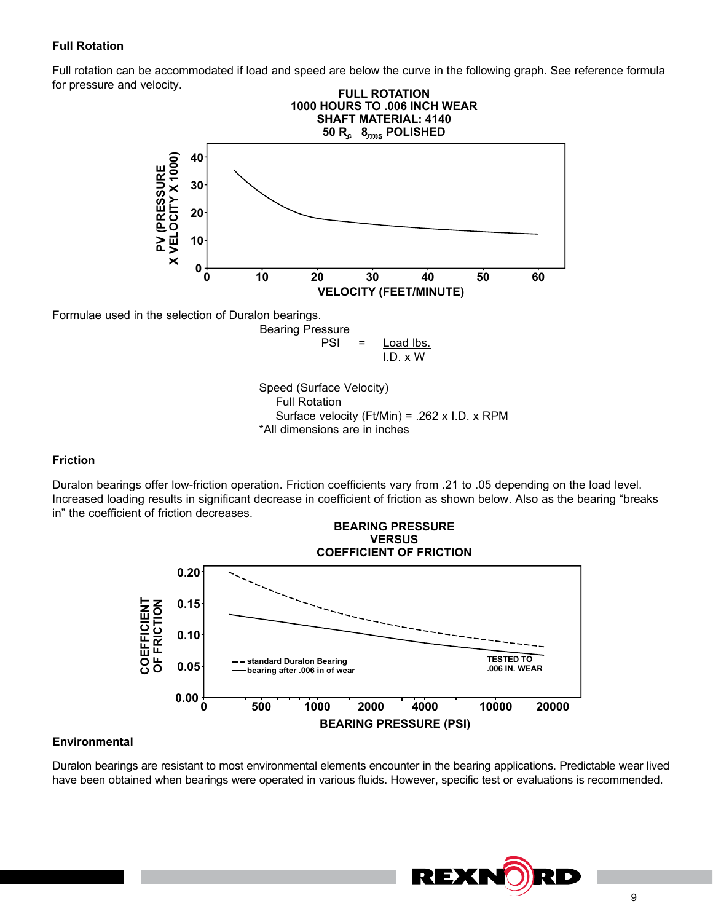### **Full Rotation**

Full rotation can be accommodated if load and speed are below the curve in the following graph. See reference formula for pressure and velocity.



Formulae used in the selection of Duralon bearings.

Bearing Pressure  $PSI =$  Load lbs. I.D. x W

Speed (Surface Velocity) Full Rotation Surface velocity (Ft/Min) = .262 x I.D. x RPM \*All dimensions are in inches

#### **Friction**

Duralon bearings offer low-friction operation. Friction coefficients vary from .21 to .05 depending on the load level. Increased loading results in significant decrease in coefficient of friction as shown below. Also as the bearing "breaks in" the coefficient of friction decreases.



## **Environmental**

Duralon bearings are resistant to most environmental elements encounter in the bearing applications. Predictable wear lived have been obtained when bearings were operated in various fluids. However, specific test or evaluations is recommended.

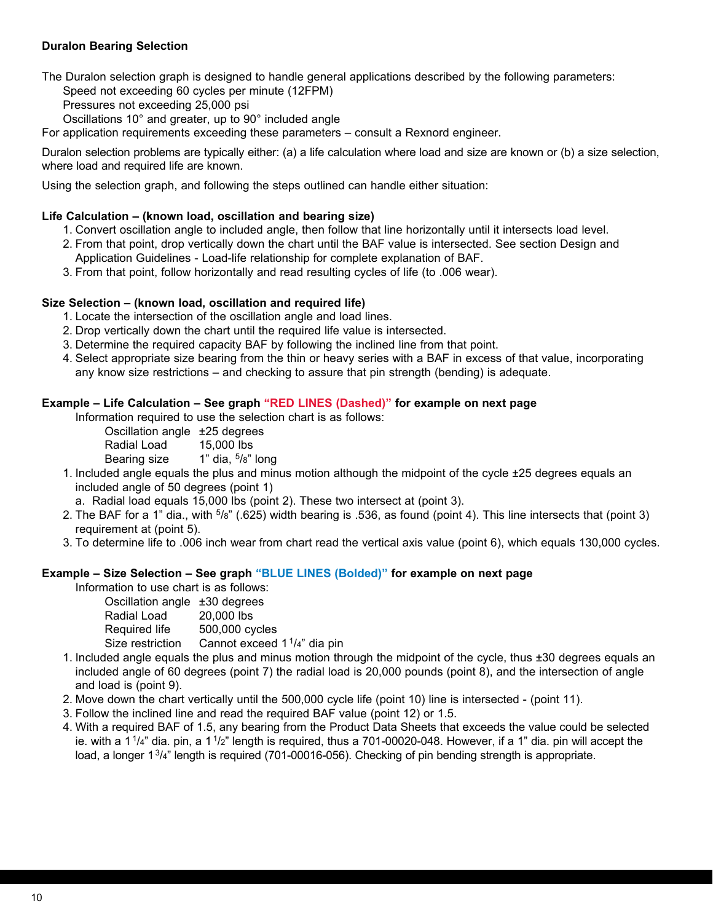## **Duralon Bearing Selection**

The Duralon selection graph is designed to handle general applications described by the following parameters:

Speed not exceeding 60 cycles per minute (12FPM)

Pressures not exceeding 25,000 psi

Oscillations 10° and greater, up to 90° included angle

For application requirements exceeding these parameters – consult a Rexnord engineer.

Duralon selection problems are typically either: (a) a life calculation where load and size are known or (b) a size selection, where load and required life are known.

Using the selection graph, and following the steps outlined can handle either situation:

### **Life Calculation – (known load, oscillation and bearing size)**

- 1. Convert oscillation angle to included angle, then follow that line horizontally until it intersects load level.
- 2. From that point, drop vertically down the chart until the BAF value is intersected. See section Design and Application Guidelines - Load-life relationship for complete explanation of BAF.
- 3. From that point, follow horizontally and read resulting cycles of life (to .006 wear).

#### **Size Selection – (known load, oscillation and required life)**

- 1. Locate the intersection of the oscillation angle and load lines.
- 2. Drop vertically down the chart until the required life value is intersected.
- 3. Determine the required capacity BAF by following the inclined line from that point.
- 4. Select appropriate size bearing from the thin or heavy series with a BAF in excess of that value, incorporating any know size restrictions – and checking to assure that pin strength (bending) is adequate.

# **Example – Life Calculation – See graph "RED LINES (Dashed)" for example on next page**

Information required to use the selection chart is as follows:

Oscillation angle ±25 degrees

Radial Load 15,000 lbs

Bearing size  $1"$  dia,  $5/8"$  long

- 1. Included angle equals the plus and minus motion although the midpoint of the cycle ±25 degrees equals an included angle of 50 degrees (point 1)
	- a. Radial load equals 15,000 lbs (point 2). These two intersect at (point 3).
- 2. The BAF for a 1" dia., with  $5/8$ " (.625) width bearing is .536, as found (point 4). This line intersects that (point 3) requirement at (point 5).
- 3. To determine life to .006 inch wear from chart read the vertical axis value (point 6), which equals 130,000 cycles.

## **Example – Size Selection – See graph "BLUE LINES (Bolded)" for example on next page**

Information to use chart is as follows:

| Oscillation angle ±30 degrees |                                          |
|-------------------------------|------------------------------------------|
| Radial Load                   | 20,000 lbs                               |
| Required life                 | 500,000 cycles                           |
| Size restriction              | Cannot exceed 1 <sup>1</sup> /4" dia pin |

- 1. Included angle equals the plus and minus motion through the midpoint of the cycle, thus ±30 degrees equals an included angle of 60 degrees (point 7) the radial load is 20,000 pounds (point 8), and the intersection of angle and load is (point 9).
- 2. Move down the chart vertically until the 500,000 cycle life (point 10) line is intersected (point 11).
- 3. Follow the inclined line and read the required BAF value (point 12) or 1.5.
- 4. With a required BAF of 1.5, any bearing from the Product Data Sheets that exceeds the value could be selected ie. with a  $1^{1}/4$ " dia. pin, a  $1^{1}/2$ " length is required, thus a 701-00020-048. However, if a 1" dia. pin will accept the load, a longer 1<sup>3</sup>/4" length is required (701-00016-056). Checking of pin bending strength is appropriate.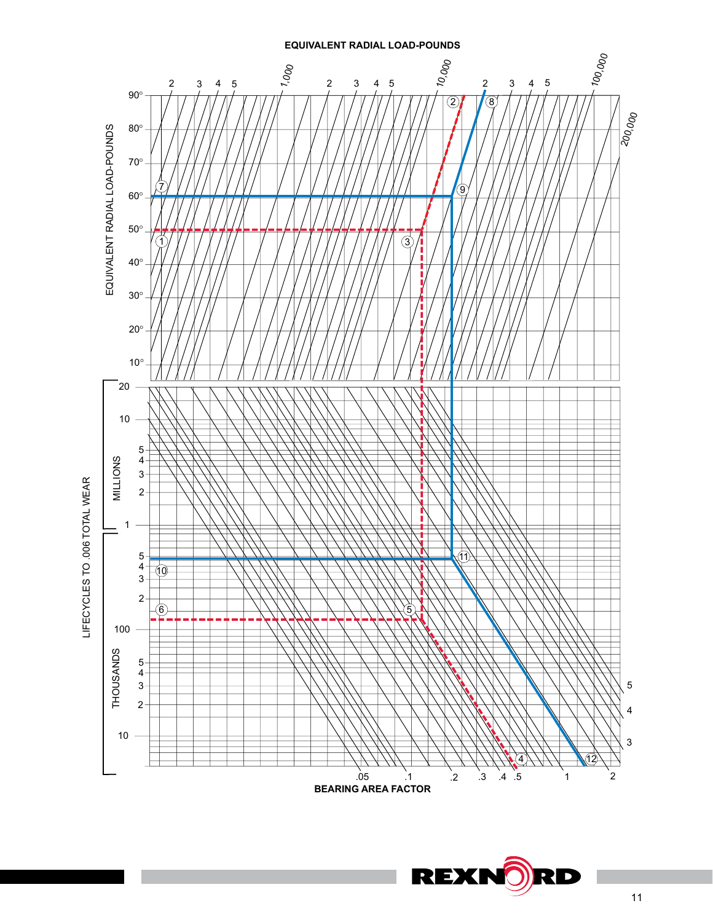

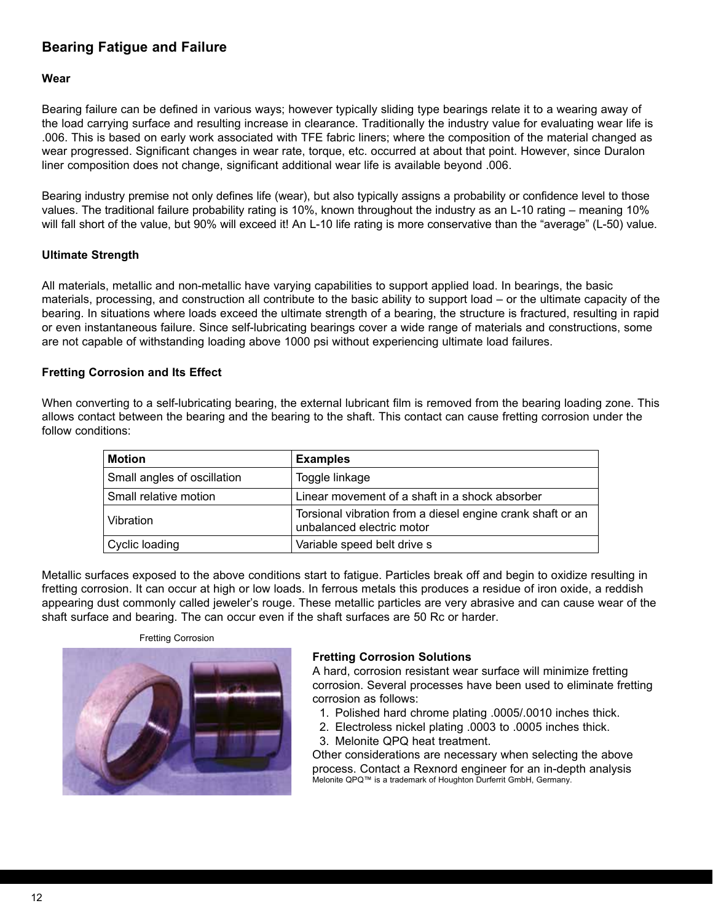# **Bearing Fatigue and Failure**

#### **Wear**

Bearing failure can be defined in various ways; however typically sliding type bearings relate it to a wearing away of the load carrying surface and resulting increase in clearance. Traditionally the industry value for evaluating wear life is .006. This is based on early work associated with TFE fabric liners; where the composition of the material changed as wear progressed. Significant changes in wear rate, torque, etc. occurred at about that point. However, since Duralon liner composition does not change, significant additional wear life is available beyond .006.

Bearing industry premise not only defines life (wear), but also typically assigns a probability or confidence level to those values. The traditional failure probability rating is 10%, known throughout the industry as an L-10 rating – meaning 10% will fall short of the value, but 90% will exceed it! An L-10 life rating is more conservative than the "average" (L-50) value.

#### **Ultimate Strength**

All materials, metallic and non-metallic have varying capabilities to support applied load. In bearings, the basic materials, processing, and construction all contribute to the basic ability to support load – or the ultimate capacity of the bearing. In situations where loads exceed the ultimate strength of a bearing, the structure is fractured, resulting in rapid or even instantaneous failure. Since self-lubricating bearings cover a wide range of materials and constructions, some are not capable of withstanding loading above 1000 psi without experiencing ultimate load failures.

## **Fretting Corrosion and Its Effect**

When converting to a self-lubricating bearing, the external lubricant film is removed from the bearing loading zone. This allows contact between the bearing and the bearing to the shaft. This contact can cause fretting corrosion under the follow conditions:

| <b>Motion</b>               | <b>Examples</b>                                                                         |
|-----------------------------|-----------------------------------------------------------------------------------------|
| Small angles of oscillation | Toggle linkage                                                                          |
| Small relative motion       | Linear movement of a shaft in a shock absorber                                          |
| Vibration                   | Torsional vibration from a diesel engine crank shaft or an<br>unbalanced electric motor |
| Cyclic loading              | Variable speed belt drive s                                                             |

Metallic surfaces exposed to the above conditions start to fatigue. Particles break off and begin to oxidize resulting in fretting corrosion. It can occur at high or low loads. In ferrous metals this produces a residue of iron oxide, a reddish appearing dust commonly called jeweler's rouge. These metallic particles are very abrasive and can cause wear of the shaft surface and bearing. The can occur even if the shaft surfaces are 50 Rc or harder.

Fretting Corrosion



## **Fretting Corrosion Solutions**

A hard, corrosion resistant wear surface will minimize fretting corrosion. Several processes have been used to eliminate fretting corrosion as follows:

- 1. Polished hard chrome plating .0005/.0010 inches thick.
- 2. Electroless nickel plating .0003 to .0005 inches thick.
- 3. Melonite QPQ heat treatment.

Other considerations are necessary when selecting the above process. Contact a Rexnord engineer for an in-depth analysis Melonite QPQ™ is a trademark of Houghton Durferrit GmbH, Germany.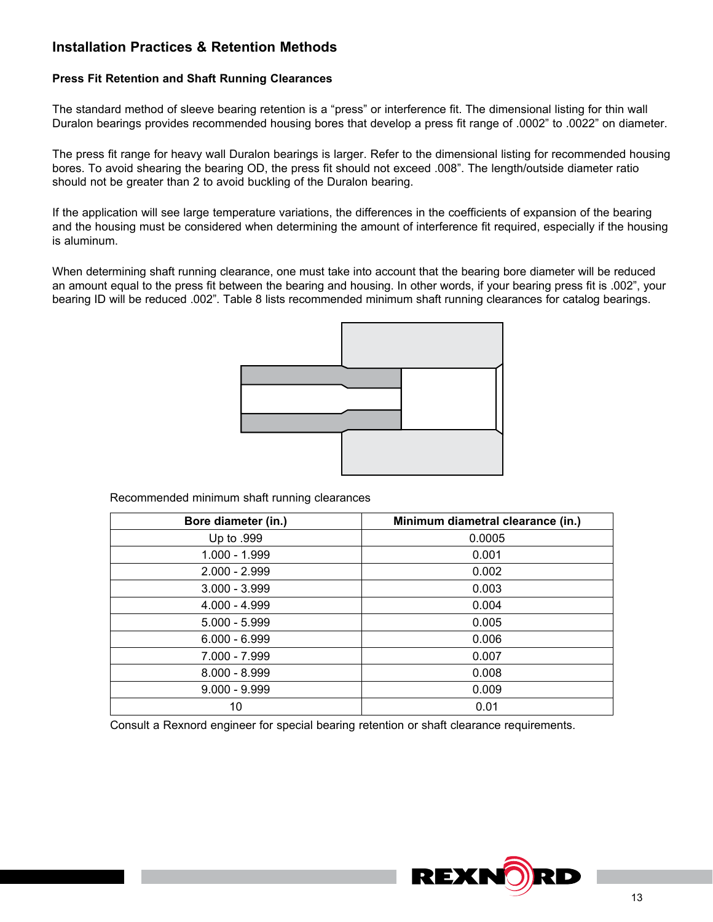# **Installation Practices & Retention Methods**

### **Press Fit Retention and Shaft Running Clearances**

The standard method of sleeve bearing retention is a "press" or interference fit. The dimensional listing for thin wall Duralon bearings provides recommended housing bores that develop a press fit range of .0002" to .0022" on diameter.

The press fit range for heavy wall Duralon bearings is larger. Refer to the dimensional listing for recommended housing bores. To avoid shearing the bearing OD, the press fit should not exceed .008". The length/outside diameter ratio should not be greater than 2 to avoid buckling of the Duralon bearing.

If the application will see large temperature variations, the differences in the coefficients of expansion of the bearing and the housing must be considered when determining the amount of interference fit required, especially if the housing is aluminum.

When determining shaft running clearance, one must take into account that the bearing bore diameter will be reduced an amount equal to the press fit between the bearing and housing. In other words, if your bearing press fit is .002", your bearing ID will be reduced .002". Table 8 lists recommended minimum shaft running clearances for catalog bearings.



Recommended minimum shaft running clearances

| Bore diameter (in.) | Minimum diametral clearance (in.) |
|---------------------|-----------------------------------|
| Up to .999          | 0.0005                            |
| 1.000 - 1.999       | 0.001                             |
| $2.000 - 2.999$     | 0.002                             |
| $3.000 - 3.999$     | 0.003                             |
| $4.000 - 4.999$     | 0.004                             |
| $5.000 - 5.999$     | 0.005                             |
| $6.000 - 6.999$     | 0.006                             |
| 7.000 - 7.999       | 0.007                             |
| $8.000 - 8.999$     | 0.008                             |
| $9.000 - 9.999$     | 0.009                             |
| 10                  | 0.01                              |

Consult a Rexnord engineer for special bearing retention or shaft clearance requirements.

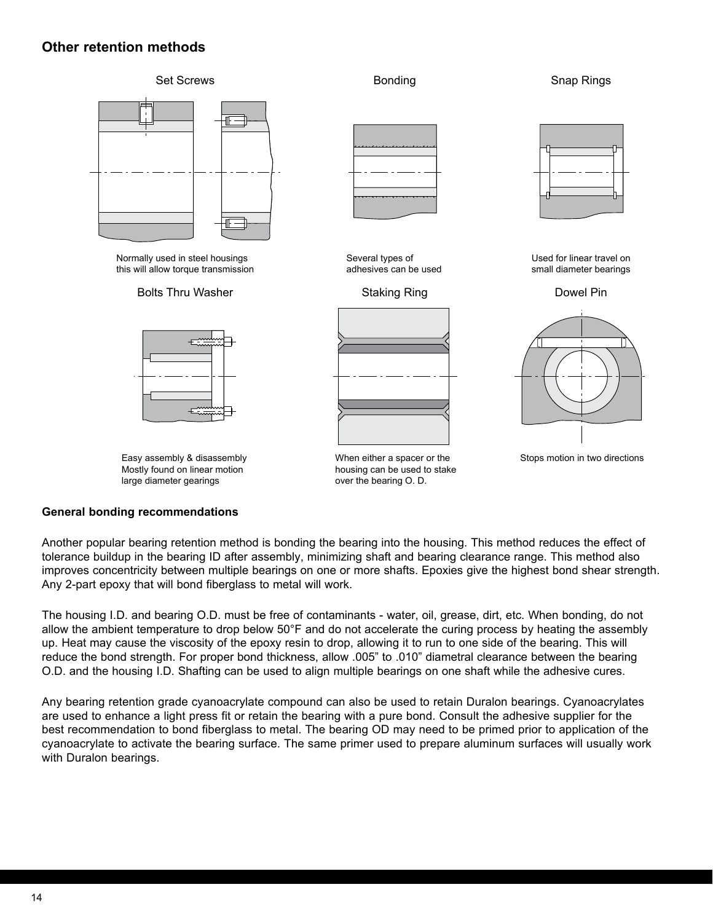# **Other retention methods**



#### **General bonding recommendations**

large diameter gearings large diameter gearings

Another popular bearing retention method is bonding the bearing into the housing. This method reduces the effect of tolerance buildup in the bearing ID after assembly, minimizing shaft and bearing clearance range. This method also improves concentricity between multiple bearings on one or more shafts. Epoxies give the highest bond shear strength. Any 2-part epoxy that will bond fiberglass to metal will work.

over the bearing O. D. over the bearing O. D.

The housing I.D. and bearing O.D. must be free of contaminants - water, oil, grease, dirt, etc. When bonding, do not allow the ambient temperature to drop below 50°F and do not accelerate the curing process by heating the assembly up. Heat may cause the viscosity of the epoxy resin to drop, allowing it to run to one side of the bearing. This will reduce the bond strength. For proper bond thickness, allow .005" to .010" diametral clearance between the bearing O.D. and the housing I.D. Shafting can be used to align multiple bearings on one shaft while the adhesive cures.

Any bearing retention grade cyanoacrylate compound can also be used to retain Duralon bearings. Cyanoacrylates are used to enhance a light press fit or retain the bearing with a pure bond. Consult the adhesive supplier for the best recommendation to bond fiberglass to metal. The bearing OD may need to be primed prior to application of the cyanoacrylate to activate the bearing surface. The same primer used to prepare aluminum surfaces will usually work with Duralon bearings.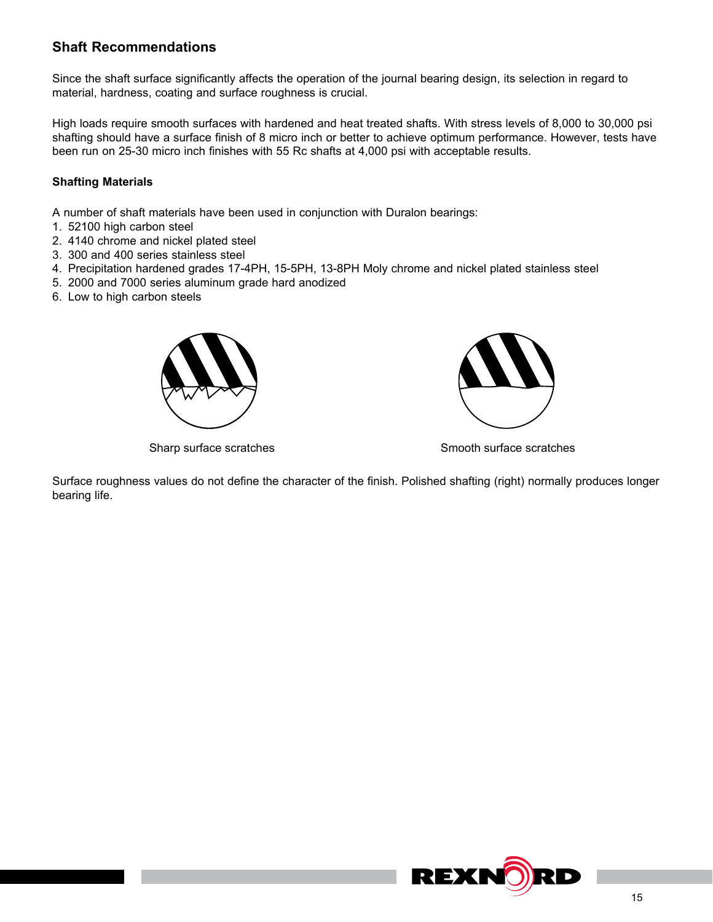# **Shaft Recommendations**

Since the shaft surface significantly affects the operation of the journal bearing design, its selection in regard to material, hardness, coating and surface roughness is crucial.

High loads require smooth surfaces with hardened and heat treated shafts. With stress levels of 8,000 to 30,000 psi shafting should have a surface finish of 8 micro inch or better to achieve optimum performance. However, tests have been run on 25-30 micro inch finishes with 55 Rc shafts at 4,000 psi with acceptable results.

## **Shafting Materials**

A number of shaft materials have been used in conjunction with Duralon bearings:

- 1. 52100 high carbon steel
- 2. 4140 chrome and nickel plated steel
- 3. 300 and 400 series stainless steel
- 4. Precipitation hardened grades 17-4PH, 15-5PH, 13-8PH Moly chrome and nickel plated stainless steel
- 5. 2000 and 7000 series aluminum grade hard anodized
- 6. Low to high carbon steels





Sharp surface scratches Sharp surface scratches Smooth surface scratches

Surface roughness values do not define the character of the finish. Polished shafting (right) normally produces longer bearing life.

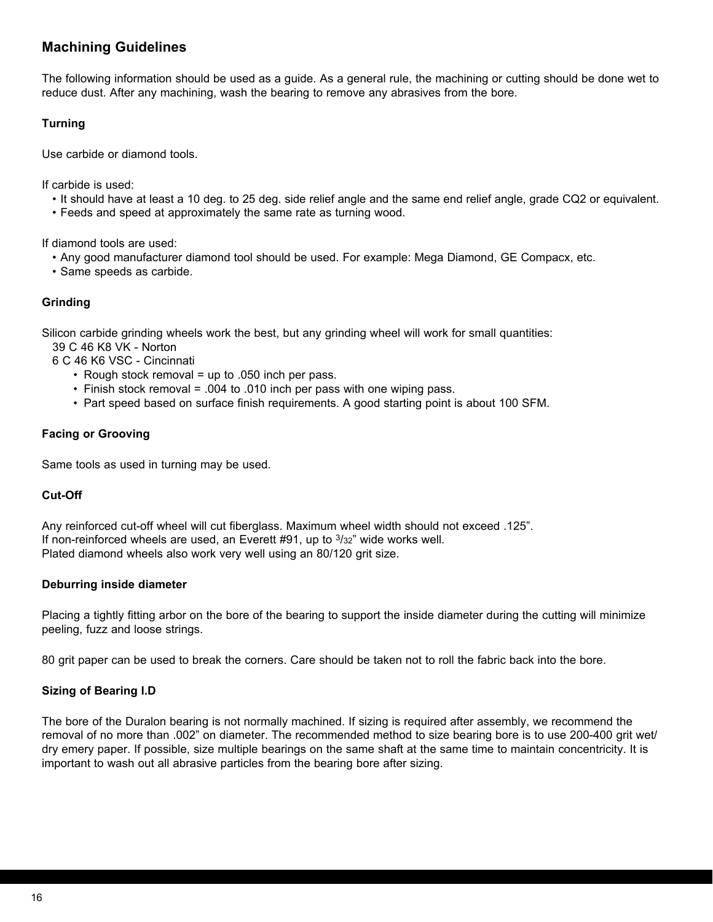# **Machining Guidelines**

The following information should be used as a guide. As a general rule, the machining or cutting should be done wet to reduce dust. After any machining, wash the bearing to remove any abrasives from the bore.

## **Turning**

Use carbide or diamond tools.

If carbide is used:

- It should have at least a 10 deg. to 25 deg. side relief angle and the same end relief angle, grade CQ2 or equivalent.
- Feeds and speed at approximately the same rate as turning wood.

If diamond tools are used:

- Any good manufacturer diamond tool should be used. For example: Mega Diamond, GE Compacx, etc.
- Same speeds as carbide.

## **Grinding**

Silicon carbide grinding wheels work the best, but any grinding wheel will work for small quantities:

39 C 46 K8 VK - Norton

6 C 46 K6 VSC - Cincinnati

- Rough stock removal = up to .050 inch per pass.
- Finish stock removal = .004 to .010 inch per pass with one wiping pass.
- Part speed based on surface finish requirements. A good starting point is about 100 SFM.

## **Facing or Grooving**

Same tools as used in turning may be used.

#### **Cut-Off**

Any reinforced cut-off wheel will cut fiberglass. Maximum wheel width should not exceed .125". If non-reinforced wheels are used, an Everett  $#91$ , up to  $3/32$ " wide works well. Plated diamond wheels also work very well using an 80/120 grit size.

#### **Deburring inside diameter**

Placing a tightly fitting arbor on the bore of the bearing to support the inside diameter during the cutting will minimize peeling, fuzz and loose strings.

80 grit paper can be used to break the corners. Care should be taken not to roll the fabric back into the bore.

## **Sizing of Bearing I.D**

The bore of the Duralon bearing is not normally machined. If sizing is required after assembly, we recommend the removal of no more than .002" on diameter. The recommended method to size bearing bore is to use 200-400 grit wet/ dry emery paper. If possible, size multiple bearings on the same shaft at the same time to maintain concentricity. It is important to wash out all abrasive particles from the bearing bore after sizing.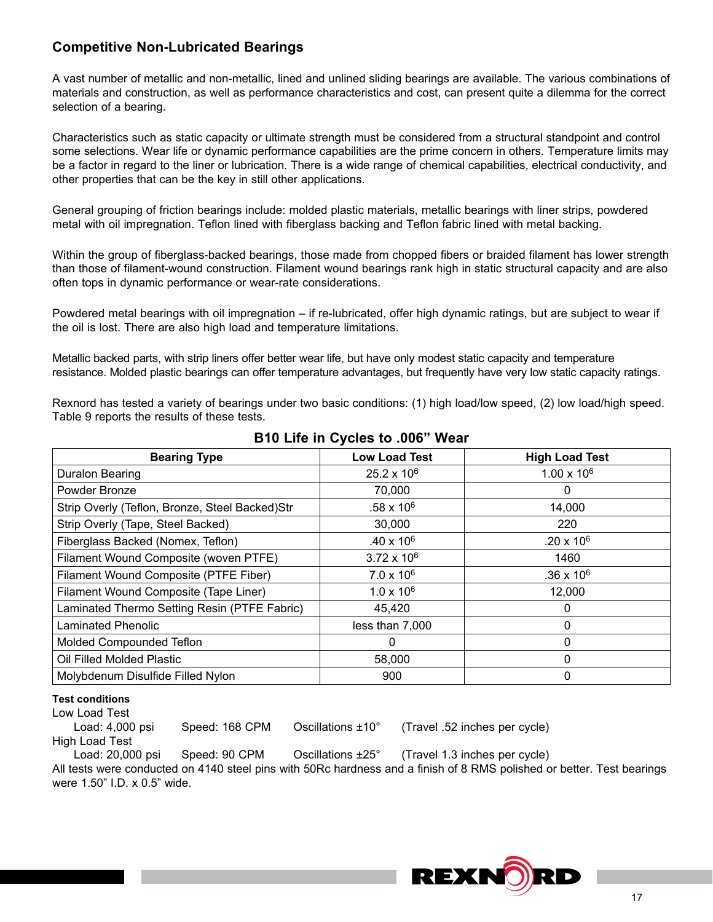# **Competitive Non-Lubricated Bearings**

A vast number of metallic and non-metallic, lined and unlined sliding bearings are available. The various combinations of materials and construction, as well as performance characteristics and cost, can present quite a dilemma for the correct selection of a bearing.

Characteristics such as static capacity or ultimate strength must be considered from a structural standpoint and control some selections. Wear life or dynamic performance capabilities are the prime concern in others. Temperature limits may be a factor in regard to the liner or lubrication. There is a wide range of chemical capabilities, electrical conductivity, and other properties that can be the key in still other applications.

General grouping of friction bearings include: molded plastic materials, metallic bearings with liner strips, powdered metal with oil impregnation. Teflon lined with fiberglass backing and Teflon fabric lined with metal backing.

Within the group of fiberglass-backed bearings, those made from chopped fibers or braided filament has lower strength than those of filament-wound construction. Filament wound bearings rank high in static structural capacity and are also often tops in dynamic performance or wear-rate considerations.

Powdered metal bearings with oil impregnation – if re-lubricated, offer high dynamic ratings, but are subject to wear if the oil is lost. There are also high load and temperature limitations.

Metallic backed parts, with strip liners offer better wear life, but have only modest static capacity and temperature resistance. Molded plastic bearings can offer temperature advantages, but frequently have very low static capacity ratings.

Rexnord has tested a variety of bearings under two basic conditions: (1) high load/low speed, (2) low load/high speed. Table 9 reports the results of these tests.

| <b>Bearing Type</b>                            | <b>Low Load Test</b> | <b>High Load Test</b> |
|------------------------------------------------|----------------------|-----------------------|
| Duralon Bearing                                | $25.2 \times 10^6$   | $1.00 \times 10^6$    |
| Powder Bronze                                  | 70,000               | 0                     |
| Strip Overly (Teflon, Bronze, Steel Backed)Str | $.58 \times 10^6$    | 14,000                |
| Strip Overly (Tape, Steel Backed)              | 30,000               | 220                   |
| Fiberglass Backed (Nomex, Teflon)              | $.40 \times 10^{6}$  | $.20 \times 10^6$     |
| Filament Wound Composite (woven PTFE)          | $3.72 \times 10^{6}$ | 1460                  |
| Filament Wound Composite (PTFE Fiber)          | $7.0 \times 10^6$    | $.36 \times 10^6$     |
| Filament Wound Composite (Tape Liner)          | $1.0 \times 10^6$    | 12,000                |
| Laminated Thermo Setting Resin (PTFE Fabric)   | 45,420               | Ω                     |
| <b>Laminated Phenolic</b>                      | less than 7,000      | 0                     |
| Molded Compounded Teflon                       | 0                    | 0                     |
| Oil Filled Molded Plastic                      | 58,000               | 0                     |
| Molybdenum Disulfide Filled Nylon              | 900                  | 0                     |

# **B10 Life in Cycles to .006" Wear**

# **Test conditions**

Low Load Test

Load: 4,000 psi Speed: 168 CPM Oscillations ±10° (Travel .52 inches per cycle) High Load Test

Load: 20,000 psi Speed: 90 CPM Oscillations ±25° (Travel 1.3 inches per cycle) All tests were conducted on 4140 steel pins with 50Rc hardness and a finish of 8 RMS polished or better. Test bearings were 1.50" I.D. x 0.5" wide.

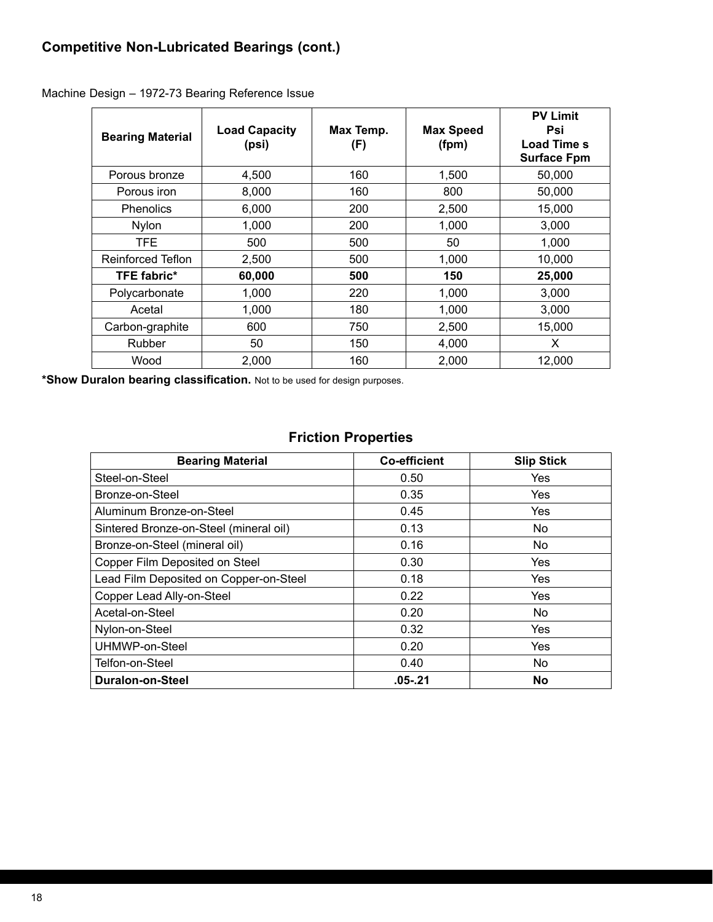| <b>Bearing Material</b> | <b>Load Capacity</b><br>(psi) | Max Temp.<br>(F) | <b>Max Speed</b><br>(fpm) | <b>PV Limit</b><br>Psi<br>Load Time s<br><b>Surface Fpm</b> |
|-------------------------|-------------------------------|------------------|---------------------------|-------------------------------------------------------------|
| Porous bronze           | 4,500                         | 160              | 1,500                     | 50,000                                                      |
| Porous iron             | 8,000                         | 160              | 800                       | 50,000                                                      |
| <b>Phenolics</b>        | 6,000                         | 200              | 2,500                     | 15,000                                                      |
| <b>Nylon</b>            | 1,000                         | 200              | 1,000                     | 3,000                                                       |
| TFE.                    | 500                           | 500              | 50                        | 1.000                                                       |
| Reinforced Teflon       | 2,500                         | 500              | 1,000                     | 10.000                                                      |
| <b>TFE fabric*</b>      | 60,000                        | 500              | 150                       | 25,000                                                      |
| Polycarbonate           | 1,000                         | 220              | 1,000                     | 3,000                                                       |
| Acetal                  | 1,000                         | 180              | 1,000                     | 3.000                                                       |
| Carbon-graphite         | 600                           | 750              | 2,500                     | 15,000                                                      |
| Rubber                  | 50                            | 150              | 4,000                     | X                                                           |
| Wood                    | 2,000                         | 160              | 2,000                     | 12,000                                                      |

Machine Design – 1972-73 Bearing Reference Issue

**\*Show Duralon bearing classification.** Not to be used for design purposes.

# **Friction Properties**

| <b>Bearing Material</b>                | <b>Co-efficient</b> | <b>Slip Stick</b> |
|----------------------------------------|---------------------|-------------------|
| Steel-on-Steel                         | 0.50                | Yes               |
| Bronze-on-Steel                        | 0.35                | Yes               |
| Aluminum Bronze-on-Steel               | 0.45                | Yes               |
| Sintered Bronze-on-Steel (mineral oil) | 0.13                | No.               |
| Bronze-on-Steel (mineral oil)          | 0.16                | No.               |
| Copper Film Deposited on Steel         | 0.30                | Yes               |
| Lead Film Deposited on Copper-on-Steel | 0.18                | <b>Yes</b>        |
| Copper Lead Ally-on-Steel              | 0.22                | Yes               |
| Acetal-on-Steel                        | 0.20                | No                |
| Nylon-on-Steel                         | 0.32                | <b>Yes</b>        |
| UHMWP-on-Steel                         | 0.20                | Yes               |
| Telfon-on-Steel                        | 0.40                | No                |
| Duralon-on-Steel                       | $.05 - .21$         | <b>No</b>         |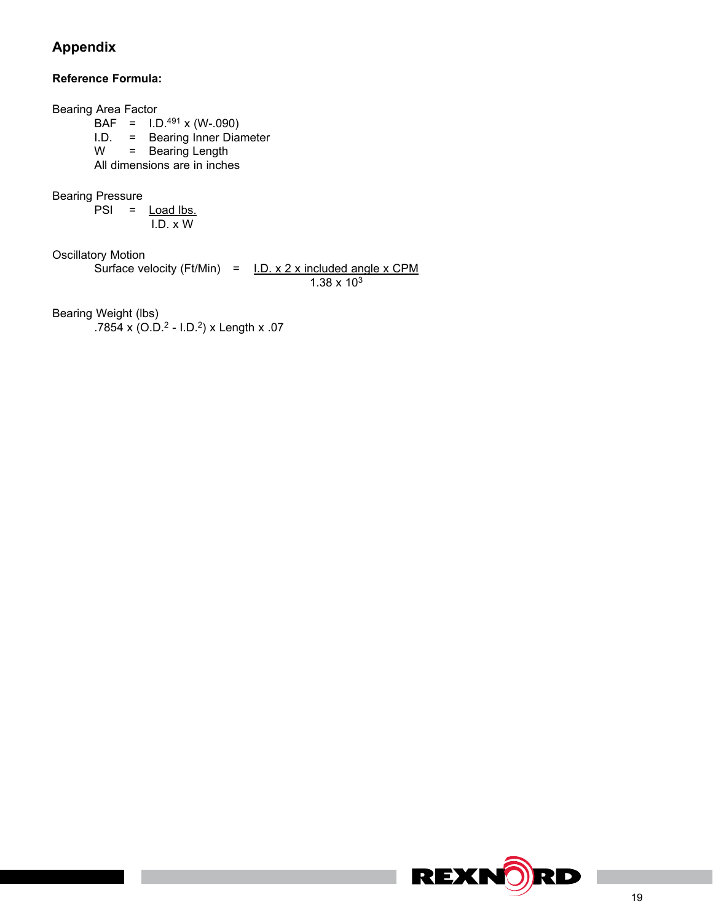# **Appendix**

# **Reference Formula:**

Bearing Area Factor  $BAF = I.D.^{491} \times (W-.090)$ I.D. = Bearing Inner Diameter<br> $W =$  Bearing Length = Bearing Length All dimensions are in inches Bearing Pressure  $PSI =$  **Load lbs.**  I.D. x W Oscillatory Motion Surface velocity (Ft/Min) =  $I.D. x 2 x$  included angle x CPM  $1.38 \times 10^{3}$ Bearing Weight (lbs) .7854 x (O.D.2 - I.D.2) x Length x .07

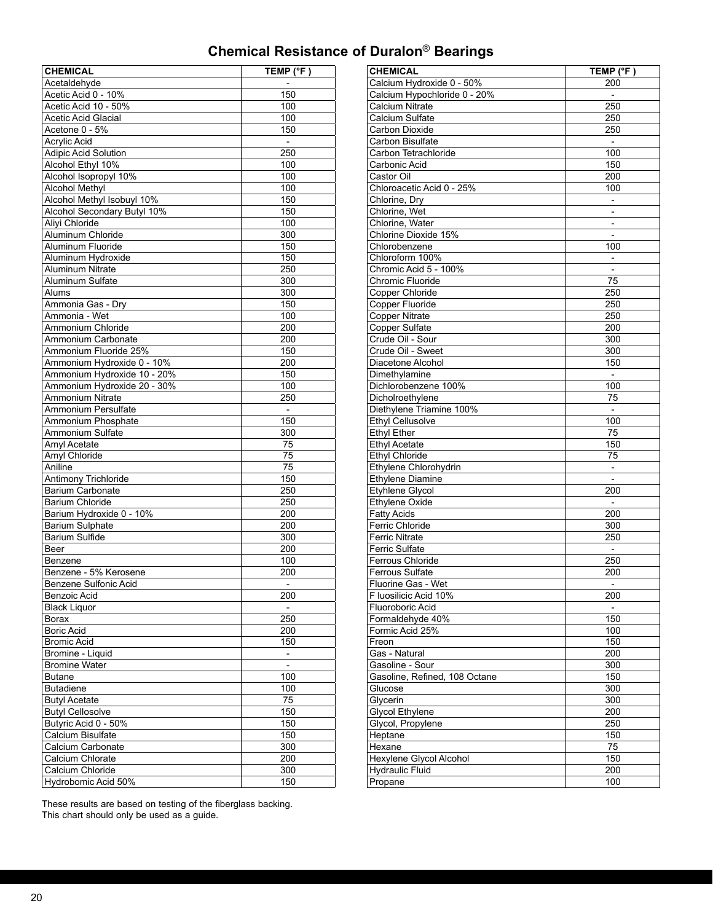# **Chemical Resistance of Duralon**® **Bearings**

| <b>CHEMICAL</b>             | TEMP (°F )               |
|-----------------------------|--------------------------|
| Acetaldehyde                |                          |
| Acetic Acid 0 - 10%         | 150                      |
| Acetic Acid 10 - 50%        | 100                      |
| Acetic Acid Glacial         | 100                      |
| Acetone 0 - 5%              | 150                      |
| Acrylic Acid                | $\overline{\phantom{a}}$ |
| <b>Adipic Acid Solution</b> | 250                      |
| Alcohol Ethyl 10%           | 100                      |
| Alcohol Isopropyl 10%       | 100                      |
| <b>Alcohol Methyl</b>       | 100                      |
| Alcohol Methyl Isobuyl 10%  | 150                      |
| Alcohol Secondary Butyl 10% | 150                      |
| Aliyi Chloride              | 100                      |
| Aluminum Chloride           | 300                      |
| Aluminum Fluoride           | 150                      |
| Aluminum Hydroxide          | 150                      |
| Aluminum Nitrate            | 250                      |
| Aluminum Sulfate            | 300                      |
| Alums                       | 300                      |
| Ammonia Gas - Dry           | 150                      |
| Ammonia - Wet               | 100                      |
| Ammonium Chloride           | 200                      |
|                             |                          |
| Ammonium Carbonate          | 200                      |
| Ammonium Fluoride 25%       | 150                      |
| Ammonium Hydroxide 0 - 10%  | 200                      |
| Ammonium Hydroxide 10 - 20% | 150                      |
| Ammonium Hydroxide 20 - 30% | 100                      |
| Ammonium Nitrate            | 250                      |
| Ammonium Persulfate         |                          |
| Ammonium Phosphate          | 150                      |
| Ammonium Sulfate            | 300                      |
| Amyl Acetate                | 75                       |
| Amyl Chloride               | 75                       |
| Aniline                     | 75                       |
| Antimony Trichloride        | 150                      |
| Barium Carbonate            | 250                      |
| Barium Chloride             | 250                      |
| Barium Hydroxide 0 - 10%    | 200                      |
| <b>Barium Sulphate</b>      | 200                      |
| Barium Sulfide              | 300                      |
| Beer                        | 200                      |
| Benzene                     | 100                      |
| Benzene - 5% Kerosene       | 200                      |
| Benzene Sulfonic Acid       |                          |
| Benzoic Acid                | 200                      |
| <b>Black Liquor</b>         | $\overline{\phantom{m}}$ |
| Borax                       | 250                      |
| <b>Boric Acid</b>           | 200                      |
| <b>Bromic Acid</b>          | 150                      |
| Bromine - Liquid            | $\qquad \qquad -$        |
| <b>Bromine Water</b>        | $\overline{\phantom{a}}$ |
| <b>Butane</b>               | 100                      |
| Butadiene                   | 100                      |
| <b>Butyl Acetate</b>        | 75                       |
| <b>Butyl Cellosolve</b>     | 150                      |
| Butyric Acid 0 - 50%        | 150                      |
| Calcium Bisulfate           | 150                      |
| Calcium Carbonate           | 300                      |
|                             |                          |
| Calcium Chlorate            | 200                      |
| Calcium Chloride            | 300                      |
| Hydrobomic Acid 50%         | 150                      |

| <b>CHEMICAL</b>                           | TEMP (°F )                      |
|-------------------------------------------|---------------------------------|
| Calcium Hydroxide 0 - 50%                 | 200                             |
| Calcium Hypochloride 0 - 20%              |                                 |
| Calcium Nitrate                           | 250                             |
| Calcium Sulfate                           | 250                             |
| Carbon Dioxide                            | 250                             |
| Carbon Bisulfate                          | $\overline{\phantom{a}}$        |
| Carbon Tetrachloride                      | 100                             |
| Carbonic Acid                             | 150                             |
| Castor Oil                                | 200                             |
| Chloroacetic Acid 0 - 25%                 | 100                             |
| Chlorine, Dry                             | -                               |
| Chlorine, Wet                             | -                               |
| Chlorine, Water                           | $\overline{\phantom{0}}$        |
| Chlorine Dioxide 15%                      | $\overline{\phantom{0}}$        |
| Chlorobenzene                             | 100                             |
| Chloroform 100%                           | $\overline{\phantom{0}}$        |
| Chromic Acid 5 - 100%                     |                                 |
| Chromic Fluoride                          | 75                              |
| <b>Copper Chloride</b>                    | 250                             |
| Copper Fluoride                           | 250                             |
| <b>Copper Nitrate</b>                     | 250                             |
| <b>Copper Sulfate</b>                     | 200                             |
| Crude Oil - Sour                          | 300                             |
| Crude Oil - Sweet                         | 300                             |
| Diacetone Alcohol                         | 150                             |
| Dimethylamine                             | $\overline{a}$                  |
| Dichlorobenzene 100%                      | 100                             |
| Dicholroethylene                          | 75                              |
| Diethylene Triamine 100%                  |                                 |
| <b>Ethyl Cellusolve</b>                   | 100                             |
| <b>Ethyl Ether</b>                        | 75                              |
| <b>Ethyl Acetate</b>                      | 150                             |
| Ethyl Chloride                            | 75                              |
| Ethylene Chlorohydrin                     | $\overline{a}$                  |
| <b>Ethylene Diamine</b>                   |                                 |
| <b>Etyhlene Glycol</b>                    | 200                             |
| Ethylene Oxide                            | $\overline{\phantom{0}}$        |
| <b>Fatty Acids</b>                        | 200                             |
| Ferric Chloride                           | 300                             |
| <b>Ferric Nitrate</b>                     | 250                             |
| Ferric Sulfate                            | $\overline{\phantom{a}}$        |
| Ferrous Chloride                          | 250                             |
| Ferrous Sulfate                           | 200                             |
| Fluorine Gas - Wet                        |                                 |
| F Iuosilicic Acid 10%<br>Fluoroboric Acid | 200<br>$\overline{\phantom{a}}$ |
|                                           | 150                             |
| Formaldehyde 40%<br>Formic Acid 25%       | 100                             |
| Freon                                     | 150                             |
| Gas - Natural                             | 200                             |
| Gasoline - Sour                           | 300                             |
| Gasoline, Refined, 108 Octane             | 150                             |
| Glucose                                   | 300                             |
| Glycerin                                  | 300                             |
| Glycol Ethylene                           | 200                             |
| Glycol, Propylene                         | 250                             |
| Heptane                                   | 150                             |
| Hexane                                    | 75                              |
| Hexylene Glycol Alcohol                   | 150                             |
| <b>Hydraulic Fluid</b>                    | 200                             |
| Propane                                   | 100                             |
|                                           |                                 |

These results are based on testing of the fiberglass backing. This chart should only be used as a guide.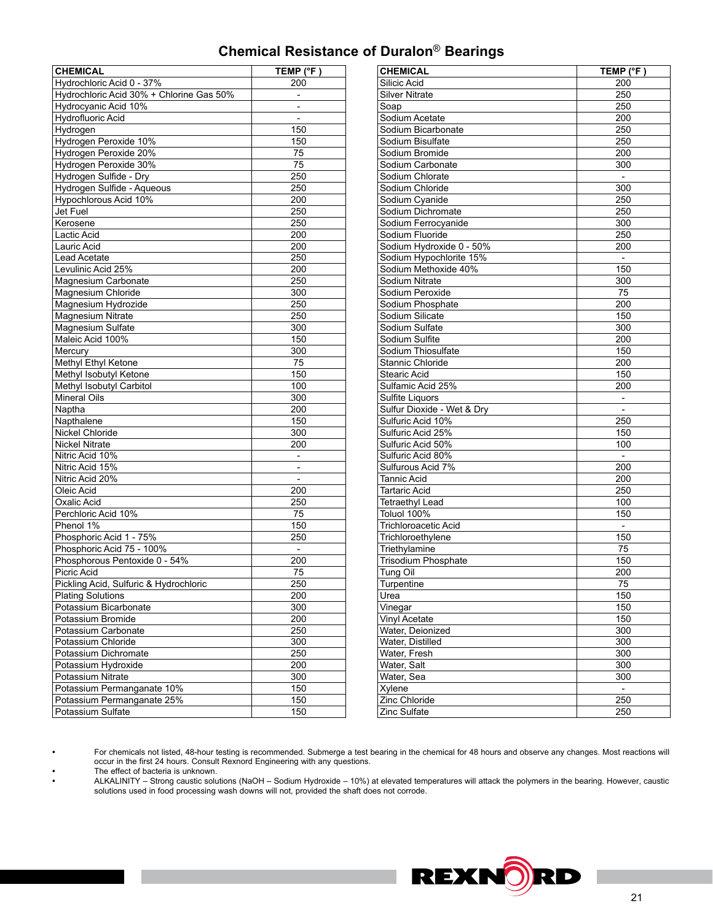# **Chemical Resistance of Duralon**® **Bearings**

| <b>CHEMICAL</b>                          | TEMP (°F)                |
|------------------------------------------|--------------------------|
| Hydrochloric Acid 0 - 37%                | 200                      |
| Hydrochloric Acid 30% + Chlorine Gas 50% | $\overline{\phantom{a}}$ |
| Hydrocyanic Acid 10%                     |                          |
| Hydrofluoric Acid                        |                          |
| Hydrogen                                 | 150                      |
| Hydrogen Peroxide 10%                    | 150                      |
| Hydrogen Peroxide 20%                    | 75                       |
| Hydrogen Peroxide 30%                    | 75                       |
| Hydrogen Sulfide - Dry                   | 250                      |
| Hydrogen Sulfide - Aqueous               | 250                      |
| Hypochlorous Acid 10%                    | 200                      |
| Jet Fuel                                 | 250                      |
| Kerosene                                 | 250                      |
| Lactic Acid                              | 200                      |
| Lauric Acid                              | 200                      |
| Lead Acetate                             | 250                      |
| Levulinic Acid 25%                       | 200                      |
| Magnesium Carbonate                      | 250                      |
| Magnesium Chloride                       | 300                      |
| Magnesium Hydrozide                      | 250                      |
| <b>Magnesium Nitrate</b>                 | 250                      |
| Magnesium Sulfate                        | 300                      |
| Maleic Acid 100%                         | 150                      |
| Mercury                                  | 300                      |
| Methyl Ethyl Ketone                      | 75                       |
| Methyl Isobutyl Ketone                   | 150                      |
| Methyl Isobutyl Carbitol                 | 100                      |
| <b>Mineral Oils</b>                      | 300                      |
| Naptha                                   | 200                      |
| Napthalene                               | 150                      |
| Nickel Chloride                          | 300                      |
| <b>Nickel Nitrate</b>                    | 200                      |
| Nitric Acid 10%                          |                          |
| Nitric Acid 15%                          |                          |
| Nitric Acid 20%                          | $\qquad \qquad -$        |
| Oleic Acid                               | 200                      |
| Oxalic Acid                              | 250                      |
| Perchloric Acid 10%                      | 75                       |
| Phenol 1%                                | 150                      |
| Phosphoric Acid 1 - 75%                  | 250                      |
| Phosphoric Acid 75 - 100%                | $\qquad \qquad -$        |
| Phosphorous Pentoxide 0 - 54%            | 200                      |
| Picric Acid                              | 75                       |
| Pickling Acid, Sulfuric & Hydrochloric   | 250                      |
| <b>Plating Solutions</b>                 | 200                      |
| Potassium Bicarbonate                    | 300                      |
| Potassium Bromide                        | 200                      |
| Potassium Carbonate                      | 250                      |
| Potassium Chloride                       | 300                      |
| Potassium Dichromate                     | 250                      |
| Potassium Hydroxide                      | 200                      |
| Potassium Nitrate                        | 300                      |
| Potassium Permanganate 10%               | 150                      |
| Potassium Permanganate 25%               | 150                      |
| Potassium Sulfate                        | 150                      |
|                                          |                          |

| <b>CHEMICAL</b>                | TEMP (°F)                    |
|--------------------------------|------------------------------|
| Silicic Acid                   | 200                          |
| <b>Silver Nitrate</b>          | 250                          |
| Soap                           | 250                          |
| Sodium Acetate                 | 200                          |
| Sodium Bicarbonate             | 250                          |
| Sodium Bisulfate               | 250                          |
| Sodium Bromide                 | 200                          |
| Sodium Carbonate               | 300                          |
| Sodium Chlorate                | $\blacksquare$               |
| Sodium Chloride                | 300                          |
| Sodium Cyanide                 | 250                          |
| Sodium Dichromate              | 250                          |
| Sodium Ferrocyanide            | 300                          |
| Sodium Fluoride                | 250                          |
| Sodium Hydroxide 0 - 50%       | 200                          |
| Sodium Hypochlorite 15%        | $\overline{\phantom{a}}$     |
| Sodium Methoxide 40%           | 150                          |
| Sodium Nitrate                 | 300                          |
| Sodium Peroxide                | 75                           |
| Sodium Phosphate               | 200                          |
| Sodium Silicate                | 150                          |
| Sodium Sulfate                 | 300                          |
| Sodium Sulfite                 | 200                          |
| Sodium Thiosulfate             | 150                          |
| Stannic Chloride               | 200                          |
| Stearic Acid                   | 150                          |
| Sulfamic Acid 25%              | 200                          |
| Sulfite Liquors                |                              |
| Sulfur Dioxide - Wet & Dry     | $\qquad \qquad \blacksquare$ |
| Sulfuric Acid 10%              | 250                          |
| Sulfuric Acid 25%              | 150                          |
| Sulfuric Acid 50%              | 100                          |
| Sulfuric Acid 80%              |                              |
| Sulfurous Acid 7%              | $\frac{1}{2}$<br>200         |
| Tannic Acid                    | 200                          |
|                                |                              |
| Tartaric Acid                  | 250<br>100                   |
| Tetraethyl Lead<br>Toluol 100% | 150                          |
| <b>Trichloroacetic Acid</b>    |                              |
|                                | $\qquad \qquad -$            |
| Trichloroethylene              | 150<br>75                    |
| Triethylamine                  |                              |
| Trisodium Phosphate            | 150                          |
| Tung Oil                       | 200                          |
| Turpentine                     | 75                           |
| Urea                           | 150                          |
| Vinegar                        | 150                          |
| Vinyl Acetate                  | 150                          |
| Water, Deionized               | 300                          |
| Water, Distilled               | 300                          |
| Water, Fresh                   | 300                          |
| Water, Salt                    | 300                          |
| Water, Sea                     | 300                          |
| Xylene                         | $\overline{\phantom{0}}$     |
| Zinc Chloride                  | 250                          |
| Zinc Sulfate                   | 250                          |

**•** For chemicals not listed, 48-hour testing is recommended. Submerge a test bearing in the chemical for 48 hours and observe any changes. Most reactions will occur in the first 24 hours. Consult Rexnord Engineering with any questions.

**•** The effect of bacteria is unknown.

**•** ALKALINITY – Strong caustic solutions (NaOH – Sodium Hydroxide – 10%) at elevated temperatures will attack the polymers in the bearing. However, caustic solutions used in food processing wash downs will not, provided the shaft does not corrode.